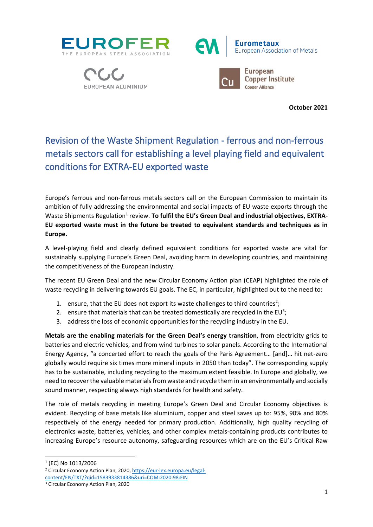







**October 2021**

## Revision of the Waste Shipment Regulation - ferrous and non-ferrous metals sectors call for establishing a level playing field and equivalent conditions for EXTRA-EU exported waste

Europe's ferrous and non-ferrous metals sectors call on the European Commission to maintain its ambition of fully addressing the environmental and social impacts of EU waste exports through the Waste Shipments Regulation<sup>1</sup> review. To fulfil the EU's Green Deal and industrial objectives, EXTRA-**EU exported waste must in the future be treated to equivalent standards and techniques as in Europe.**

A level-playing field and clearly defined equivalent conditions for exported waste are vital for sustainably supplying Europe's Green Deal, avoiding harm in developing countries, and maintaining the competitiveness of the European industry.

The recent EU Green Deal and the new Circular Economy Action plan (CEAP) highlighted the role of waste recycling in delivering towards EU goals. The EC, in particular, highlighted out to the need to:

- 1. ensure, that the EU does not export its waste challenges to third countries<sup>2</sup>;
- 2. ensure that materials that can be treated domestically are recycled in the EU<sup>3</sup>;
- 3. address the loss of economic opportunities for the recycling industry in the EU.

**Metals are the enabling materials for the Green Deal's energy transition**, from electricity grids to batteries and electric vehicles, and from wind turbines to solar panels. According to the International Energy Agency, "a concerted effort to reach the goals of the Paris Agreement… [and]… hit net-zero globally would require six times more mineral inputs in 2050 than today". The corresponding supply has to be sustainable, including recycling to the maximum extent feasible. In Europe and globally, we need to recover the valuable materials from waste and recycle them in an environmentally and socially sound manner, respecting always high standards for health and safety.

The role of metals recycling in meeting Europe's Green Deal and Circular Economy objectives is evident. Recycling of base metals like aluminium, copper and steel saves up to: 95%, 90% and 80% respectively of the energy needed for primary production. Additionally, high quality recycling of electronics waste, batteries, vehicles, and other complex metals-containing products contributes to increasing Europe's resource autonomy, safeguarding resources which are on the EU's Critical Raw

1 (EC) No 1013/2006

<sup>2</sup> Circular Economy Action Plan, 2020[, https://eur-lex.europa.eu/legal](https://eur-lex.europa.eu/legal-content/EN/TXT/?qid=1583933814386&uri=COM:2020:98:FIN)[content/EN/TXT/?qid=1583933814386&uri=COM:2020:98:FIN](https://eur-lex.europa.eu/legal-content/EN/TXT/?qid=1583933814386&uri=COM:2020:98:FIN) 

<sup>3</sup> Circular Economy Action Plan, 2020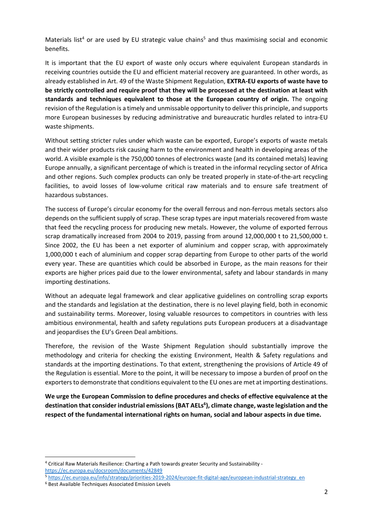Materials list<sup>4</sup> or are used by EU strategic value chains<sup>5</sup> and thus maximising social and economic benefits.

It is important that the EU export of waste only occurs where equivalent European standards in receiving countries outside the EU and efficient material recovery are guaranteed. In other words, as already established in Art. 49 of the Waste Shipment Regulation, **EXTRA-EU exports of waste have to be strictly controlled and require proof that they will be processed at the destination at least with standards and techniques equivalent to those at the European country of origin.** The ongoing revision of the Regulation is a timely and unmissable opportunity to deliver this principle, and supports more European businesses by reducing administrative and bureaucratic hurdles related to intra-EU waste shipments.

Without setting stricter rules under which waste can be exported, Europe's exports of waste metals and their wider products risk causing harm to the environment and health in developing areas of the world. A visible example is the 750,000 tonnes of electronics waste (and its contained metals) leaving Europe annually, a significant percentage of which is treated in the informal recycling sector of Africa and other regions. Such complex products can only be treated properly in state-of-the-art recycling facilities, to avoid losses of low-volume critical raw materials and to ensure safe treatment of hazardous substances.

The success of Europe's circular economy for the overall ferrous and non-ferrous metals sectors also depends on the sufficient supply of scrap. These scrap types are input materials recovered from waste that feed the recycling process for producing new metals. However, the volume of exported ferrous scrap dramatically increased from 2004 to 2019, passing from around 12,000,000 t to 21,500,000 t. Since 2002, the EU has been a net exporter of aluminium and copper scrap, with approximately 1,000,000 t each of aluminium and copper scrap departing from Europe to other parts of the world every year. These are quantities which could be absorbed in Europe, as the main reasons for their exports are higher prices paid due to the lower environmental, safety and labour standards in many importing destinations.

Without an adequate legal framework and clear applicative guidelines on controlling scrap exports and the standards and legislation at the destination, there is no level playing field, both in economic and sustainability terms. Moreover, losing valuable resources to competitors in countries with less ambitious environmental, health and safety regulations puts European producers at a disadvantage and jeopardises the EU's Green Deal ambitions.

Therefore, the revision of the Waste Shipment Regulation should substantially improve the methodology and criteria for checking the existing Environment, Health & Safety regulations and standards at the importing destinations. To that extent, strengthening the provisions of Article 49 of the Regulation is essential. More to the point, it will be necessary to impose a burden of proof on the exporters to demonstrate that conditions equivalent to the EU ones are met at importing destinations.

**We urge the European Commission to define procedures and checks of effective equivalence at the destination that consider industrial emissions(BAT AELs 6 ), climate change, waste legislation and the respect of the fundamental international rights on human, social and labour aspects in due time.** 

<sup>4</sup> Critical Raw Materials Resilience: Charting a Path towards greater Security and Sustainability <https://ec.europa.eu/docsroom/documents/42849>

<sup>5</sup> [https://ec.europa.eu/info/strategy/priorities-2019-2024/europe-fit-digital-age/european-industrial-strategy\\_en](https://ec.europa.eu/info/strategy/priorities-2019-2024/europe-fit-digital-age/european-industrial-strategy_en)

<sup>6</sup> Best Available Techniques Associated Emission Levels